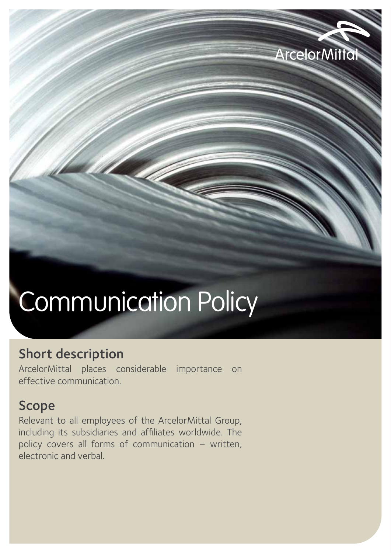# Communication Policy

**ArcelorMittal** 

### Short description

ArcelorMittal places considerable importance on effective communication.

### Scope

Relevant to all employees of the ArcelorMittal Group, including its subsidiaries and affiliates worldwide. The policy covers all forms of communication – written, electronic and verbal.